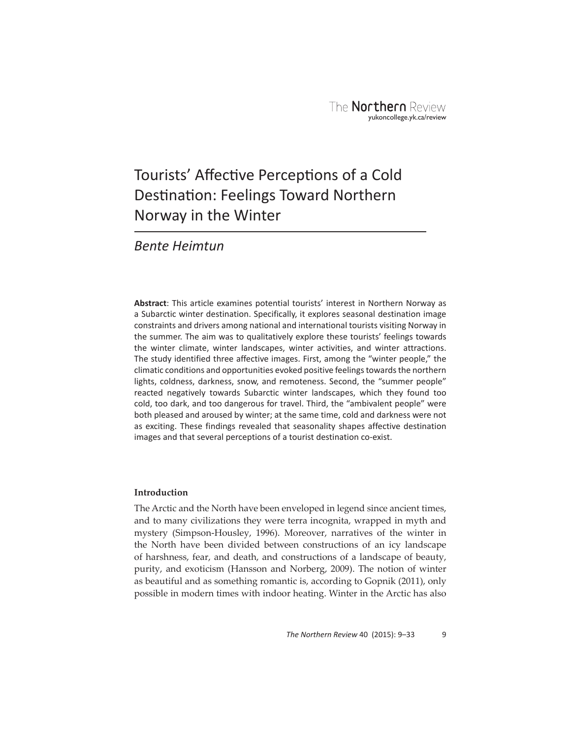# Tourists' Affective Perceptions of a Cold Destination: Feelings Toward Northern Norway in the Winter

# *Bente Heimtun*

**Abstract**: This article examines potential tourists' interest in Northern Norway as a Subarctic winter destination. Specifically, it explores seasonal destination image constraints and drivers among national and international tourists visiting Norway in the summer. The aim was to qualitatively explore these tourists' feelings towards the winter climate, winter landscapes, winter activities, and winter attractions. The study identified three affective images. First, among the "winter people," the climatic conditions and opportunities evoked positive feelings towards the northern lights, coldness, darkness, snow, and remoteness. Second, the "summer people" reacted negatively towards Subarctic winter landscapes, which they found too cold, too dark, and too dangerous for travel. Third, the "ambivalent people" were both pleased and aroused by winter; at the same time, cold and darkness were not as exciting. These findings revealed that seasonality shapes affective destination images and that several perceptions of a tourist destination co-exist.

# **Introduction**

The Arctic and the North have been enveloped in legend since ancient times, and to many civilizations they were terra incognita, wrapped in myth and mystery (Simpson-Housley, 1996). Moreover, narratives of the winter in the North have been divided between constructions of an icy landscape of harshness, fear, and death, and constructions of a landscape of beauty, purity, and exoticism (Hansson and Norberg, 2009). The notion of winter as beautiful and as something romantic is, according to Gopnik (2011), only possible in modern times with indoor heating. Winter in the Arctic has also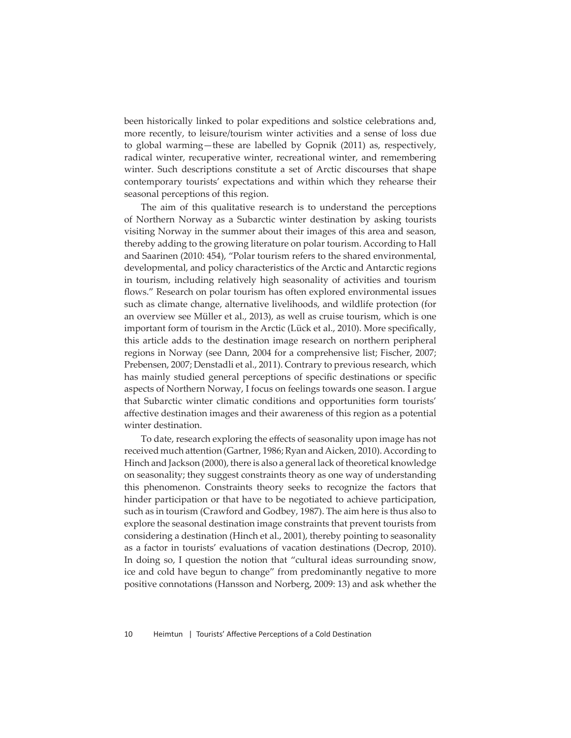been historically linked to polar expeditions and solstice celebrations and, more recently, to leisure/tourism winter activities and a sense of loss due to global warming—these are labelled by Gopnik (2011) as, respectively, radical winter, recuperative winter, recreational winter, and remembering winter. Such descriptions constitute a set of Arctic discourses that shape contemporary tourists' expectations and within which they rehearse their seasonal perceptions of this region.

The aim of this qualitative research is to understand the perceptions of Northern Norway as a Subarctic winter destination by asking tourists visiting Norway in the summer about their images of this area and season, thereby adding to the growing literature on polar tourism. According to Hall and Saarinen (2010: 454), "Polar tourism refers to the shared environmental, developmental, and policy characteristics of the Arctic and Antarctic regions in tourism, including relatively high seasonality of activities and tourism flows." Research on polar tourism has often explored environmental issues such as climate change, alternative livelihoods, and wildlife protection (for an overview see Müller et al., 2013), as well as cruise tourism, which is one important form of tourism in the Arctic (Lück et al., 2010). More specifically, this article adds to the destination image research on northern peripheral regions in Norway (see Dann, 2004 for a comprehensive list; Fischer, 2007; Prebensen, 2007; Denstadli et al., 2011). Contrary to previous research, which has mainly studied general perceptions of specific destinations or specific aspects of Northern Norway, I focus on feelings towards one season. I argue that Subarctic winter climatic conditions and opportunities form tourists' affective destination images and their awareness of this region as a potential winter destination.

To date, research exploring the effects of seasonality upon image has not received much attention (Gartner, 1986; Ryan and Aicken, 2010). According to Hinch and Jackson (2000), there is also a general lack of theoretical knowledge on seasonality; they suggest constraints theory as one way of understanding this phenomenon. Constraints theory seeks to recognize the factors that hinder participation or that have to be negotiated to achieve participation, such as in tourism (Crawford and Godbey, 1987). The aim here is thus also to explore the seasonal destination image constraints that prevent tourists from considering a destination (Hinch et al., 2001), thereby pointing to seasonality as a factor in tourists' evaluations of vacation destinations (Decrop, 2010). In doing so, I question the notion that "cultural ideas surrounding snow, ice and cold have begun to change" from predominantly negative to more positive connotations (Hansson and Norberg, 2009: 13) and ask whether the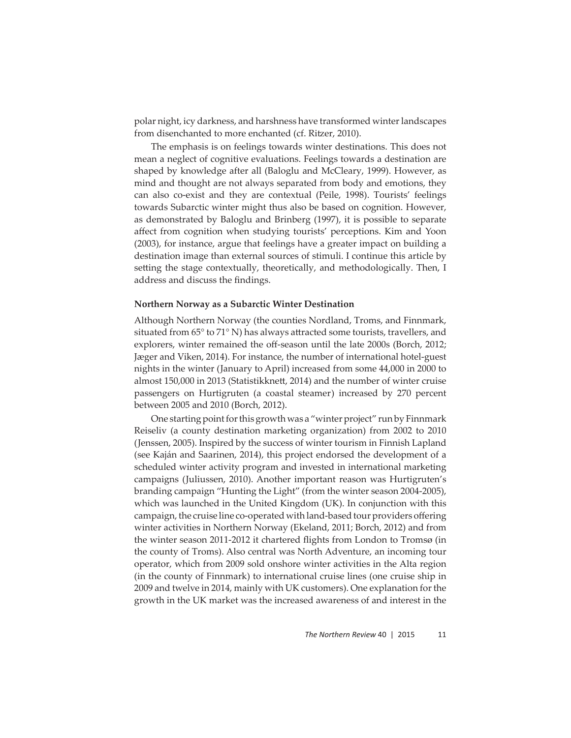polar night, icy darkness, and harshness have transformed winter landscapes from disenchanted to more enchanted (cf. Ritzer, 2010).

The emphasis is on feelings towards winter destinations. This does not mean a neglect of cognitive evaluations. Feelings towards a destination are shaped by knowledge after all (Baloglu and McCleary, 1999). However, as mind and thought are not always separated from body and emotions, they can also co-exist and they are contextual (Peile, 1998). Tourists' feelings towards Subarctic winter might thus also be based on cognition. However, as demonstrated by Baloglu and Brinberg (1997), it is possible to separate affect from cognition when studying tourists' perceptions. Kim and Yoon (2003), for instance, argue that feelings have a greater impact on building a destination image than external sources of stimuli. I continue this article by setting the stage contextually, theoretically, and methodologically. Then, I address and discuss the findings.

#### **Northern Norway as a Subarctic Winter Destination**

Although Northern Norway (the counties Nordland, Troms, and Finnmark, situated from  $65^{\circ}$  to  $71^{\circ}$  N) has always attracted some tourists, travellers, and explorers, winter remained the off-season until the late 2000s (Borch, 2012; Jæger and Viken, 2014). For instance, the number of international hotel-guest nights in the winter (January to April) increased from some 44,000 in 2000 to almost 150,000 in 2013 (Statistikknett, 2014) and the number of winter cruise passengers on Hurtigruten (a coastal steamer) increased by 270 percent between 2005 and 2010 (Borch, 2012).

One starting point for this growth was a "winter project" run by Finnmark Reiseliv (a county destination marketing organization) from 2002 to 2010 (Jenssen, 2005). Inspired by the success of winter tourism in Finnish Lapland (see Kaján and Saarinen, 2014), this project endorsed the development of a scheduled winter activity program and invested in international marketing campaigns (Juliussen, 2010). Another important reason was Hurtigruten's branding campaign "Hunting the Light" (from the winter season 2004-2005), which was launched in the United Kingdom (UK). In conjunction with this campaign, the cruise line co-operated with land-based tour providers offering winter activities in Northern Norway (Ekeland, 2011; Borch, 2012) and from the winter season 2011-2012 it chartered flights from London to Tromsø (in the county of Troms). Also central was North Adventure, an incoming tour operator, which from 2009 sold onshore winter activities in the Alta region (in the county of Finnmark) to international cruise lines (one cruise ship in 2009 and twelve in 2014, mainly with UK customers). One explanation for the growth in the UK market was the increased awareness of and interest in the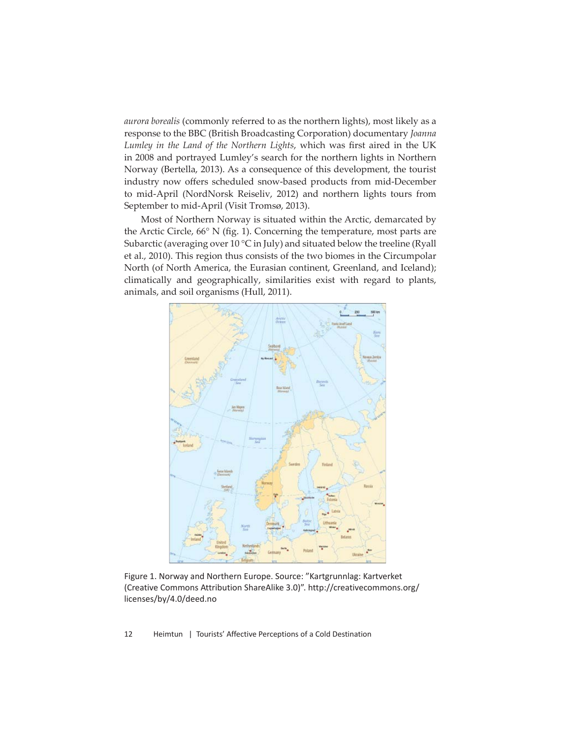*aurora borealis* (commonly referred to as the northern lights), most likely as a response to the BBC (British Broadcasting Corporation) documentary *Joanna*  Lumley in the Land of the Northern Lights, which was first aired in the UK in 2008 and portrayed Lumley's search for the northern lights in Northern Norway (Bertella, 2013). As a consequence of this development, the tourist industry now offers scheduled snow-based products from mid-December to mid-April (NordNorsk Reiseliv, 2012) and northern lights tours from September to mid-April (Visit Tromsø, 2013).

Most of Northern Norway is situated within the Arctic, demarcated by the Arctic Circle,  $66^{\circ}$  N (fig. 1). Concerning the temperature, most parts are Subarctic (averaging over 10 °C in July) and situated below the treeline (Ryall et al., 2010). This region thus consists of the two biomes in the Circumpolar North (of North America, the Eurasian continent, Greenland, and Iceland); climatically and geographically, similarities exist with regard to plants, animals, and soil organisms (Hull, 2011).



Figure 1. Norway and Northern Europe. Source: "Kartgrunnlag: Kartverket (Creative Commons Attribution ShareAlike 3.0)". http://creativecommons.org/ licenses/by/4.0/deed.no

12 Heimtun | Tourists' Affective Perceptions of a Cold Destination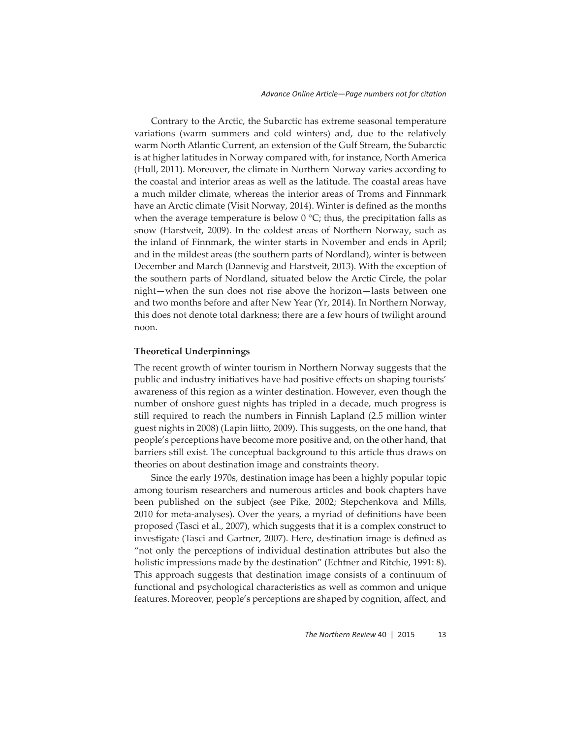Contrary to the Arctic, the Subarctic has extreme seasonal temperature variations (warm summers and cold winters) and, due to the relatively warm North Atlantic Current, an extension of the Gulf Stream, the Subarctic is at higher latitudes in Norway compared with, for instance, North America (Hull, 2011). Moreover, the climate in Northern Norway varies according to the coastal and interior areas as well as the latitude. The coastal areas have a much milder climate, whereas the interior areas of Troms and Finnmark have an Arctic climate (Visit Norway, 2014). Winter is defined as the months when the average temperature is below  $0^{\circ}$ C; thus, the precipitation falls as snow (Harstveit, 2009). In the coldest areas of Northern Norway, such as the inland of Finnmark, the winter starts in November and ends in April; and in the mildest areas (the southern parts of Nordland), winter is between December and March (Dannevig and Harstveit, 2013). With the exception of the southern parts of Nordland, situated below the Arctic Circle, the polar night—when the sun does not rise above the horizon—lasts between one and two months before and after New Year (Yr, 2014). In Northern Norway, this does not denote total darkness; there are a few hours of twilight around noon.

#### **Theoretical Underpinnings**

The recent growth of winter tourism in Northern Norway suggests that the public and industry initiatives have had positive effects on shaping tourists' awareness of this region as a winter destination. However, even though the number of onshore guest nights has tripled in a decade, much progress is still required to reach the numbers in Finnish Lapland (2.5 million winter guest nights in 2008) (Lapin liitto, 2009). This suggests, on the one hand, that people's perceptions have become more positive and, on the other hand, that barriers still exist. The conceptual background to this article thus draws on theories on about destination image and constraints theory.

Since the early 1970s, destination image has been a highly popular topic among tourism researchers and numerous articles and book chapters have been published on the subject (see Pike, 2002; Stepchenkova and Mills, 2010 for meta-analyses). Over the years, a myriad of definitions have been proposed (Tasci et al., 2007), which suggests that it is a complex construct to investigate (Tasci and Gartner, 2007). Here, destination image is defined as "not only the perceptions of individual destination attributes but also the holistic impressions made by the destination" (Echtner and Ritchie, 1991: 8). This approach suggests that destination image consists of a continuum of functional and psychological characteristics as well as common and unique features. Moreover, people's perceptions are shaped by cognition, affect, and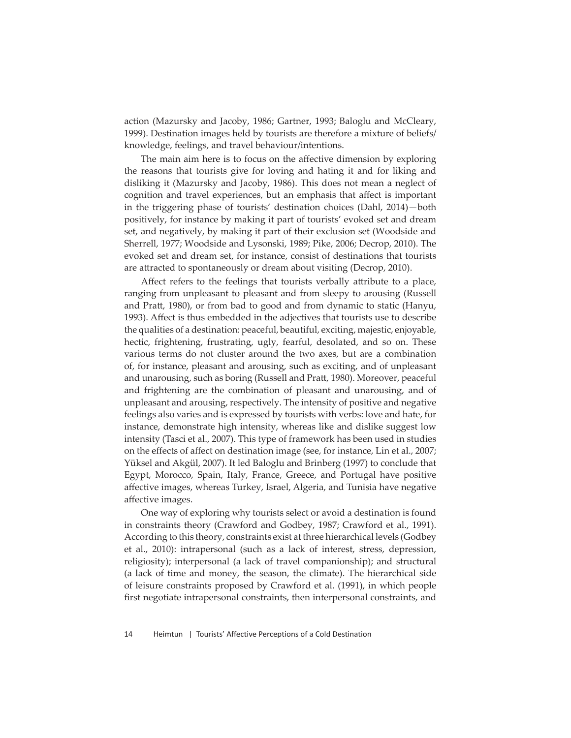action (Mazursky and Jacoby, 1986; Gartner, 1993; Baloglu and McCleary, 1999). Destination images held by tourists are therefore a mixture of beliefs/ knowledge, feelings, and travel behaviour/intentions.

The main aim here is to focus on the affective dimension by exploring the reasons that tourists give for loving and hating it and for liking and disliking it (Mazursky and Jacoby, 1986). This does not mean a neglect of cognition and travel experiences, but an emphasis that affect is important in the triggering phase of tourists' destination choices (Dahl, 2014)—both positively, for instance by making it part of tourists' evoked set and dream set, and negatively, by making it part of their exclusion set (Woodside and Sherrell, 1977; Woodside and Lysonski, 1989; Pike, 2006; Decrop, 2010). The evoked set and dream set, for instance, consist of destinations that tourists are attracted to spontaneously or dream about visiting (Decrop, 2010).

Affect refers to the feelings that tourists verbally attribute to a place, ranging from unpleasant to pleasant and from sleepy to arousing (Russell and Pratt, 1980), or from bad to good and from dynamic to static (Hanyu, 1993). Affect is thus embedded in the adjectives that tourists use to describe the qualities of a destination: peaceful, beautiful, exciting, majestic, enjoyable, hectic, frightening, frustrating, ugly, fearful, desolated, and so on. These various terms do not cluster around the two axes, but are a combination of, for instance, pleasant and arousing, such as exciting, and of unpleasant and unarousing, such as boring (Russell and Pratt, 1980). Moreover, peaceful and frightening are the combination of pleasant and unarousing, and of unpleasant and arousing, respectively. The intensity of positive and negative feelings also varies and is expressed by tourists with verbs: love and hate, for instance, demonstrate high intensity, whereas like and dislike suggest low intensity (Tasci et al., 2007). This type of framework has been used in studies on the effects of affect on destination image (see, for instance, Lin et al., 2007; Yüksel and Akgül, 2007). It led Baloglu and Brinberg (1997) to conclude that Egypt, Morocco, Spain, Italy, France, Greece, and Portugal have positive affective images, whereas Turkey, Israel, Algeria, and Tunisia have negative affective images.

One way of exploring why tourists select or avoid a destination is found in constraints theory (Crawford and Godbey, 1987; Crawford et al., 1991). According to this theory, constraints exist at three hierarchical levels (Godbey et al., 2010): intrapersonal (such as a lack of interest, stress, depression, religiosity); interpersonal (a lack of travel companionship); and structural (a lack of time and money, the season, the climate). The hierarchical side of leisure constraints proposed by Crawford et al. (1991), in which people first negotiate intrapersonal constraints, then interpersonal constraints, and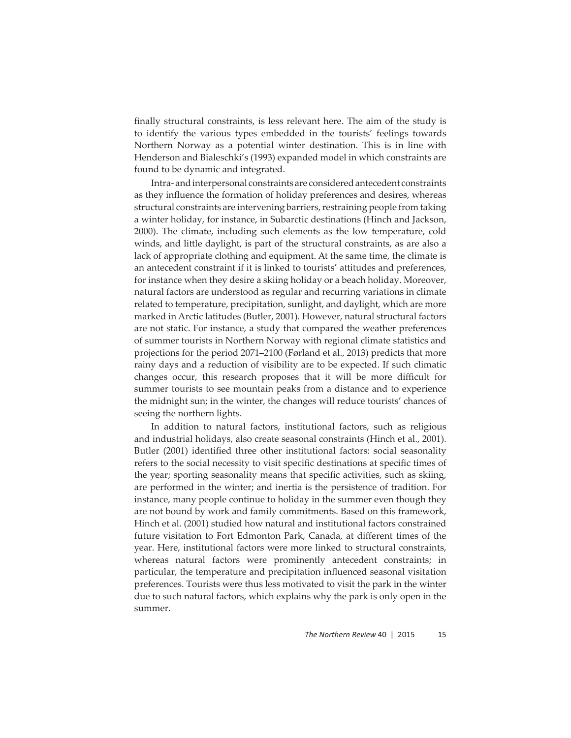finally structural constraints, is less relevant here. The aim of the study is to identify the various types embedded in the tourists' feelings towards Northern Norway as a potential winter destination. This is in line with Henderson and Bialeschki's (1993) expanded model in which constraints are found to be dynamic and integrated.

Intra- and interpersonal constraints are considered antecedent constraints as they influence the formation of holiday preferences and desires, whereas structural constraints are intervening barriers, restraining people from taking a winter holiday, for instance, in Subarctic destinations (Hinch and Jackson, 2000). The climate, including such elements as the low temperature, cold winds, and little daylight, is part of the structural constraints, as are also a lack of appropriate clothing and equipment. At the same time, the climate is an antecedent constraint if it is linked to tourists' attitudes and preferences, for instance when they desire a skiing holiday or a beach holiday. Moreover, natural factors are understood as regular and recurring variations in climate related to temperature, precipitation, sunlight, and daylight, which are more marked in Arctic latitudes (Butler, 2001). However, natural structural factors are not static. For instance, a study that compared the weather preferences of summer tourists in Northern Norway with regional climate statistics and projections for the period 2071–2100 (Førland et al., 2013) predicts that more rainy days and a reduction of visibility are to be expected. If such climatic changes occur, this research proposes that it will be more difficult for summer tourists to see mountain peaks from a distance and to experience the midnight sun; in the winter, the changes will reduce tourists' chances of seeing the northern lights.

In addition to natural factors, institutional factors, such as religious and industrial holidays, also create seasonal constraints (Hinch et al., 2001). Butler (2001) identified three other institutional factors: social seasonality refers to the social necessity to visit specific destinations at specific times of the year; sporting seasonality means that specific activities, such as skiing, are performed in the winter; and inertia is the persistence of tradition. For instance, many people continue to holiday in the summer even though they are not bound by work and family commitments. Based on this framework, Hinch et al. (2001) studied how natural and institutional factors constrained future visitation to Fort Edmonton Park, Canada, at different times of the year. Here, institutional factors were more linked to structural constraints, whereas natural factors were prominently antecedent constraints; in particular, the temperature and precipitation influenced seasonal visitation preferences. Tourists were thus less motivated to visit the park in the winter due to such natural factors, which explains why the park is only open in the summer.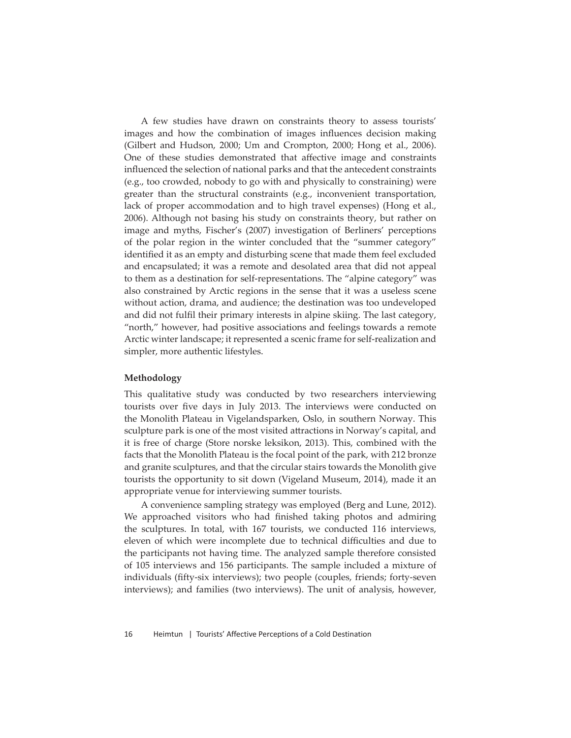A few studies have drawn on constraints theory to assess tourists' images and how the combination of images influences decision making (Gilbert and Hudson, 2000; Um and Crompton, 2000; Hong et al., 2006). One of these studies demonstrated that affective image and constraints influenced the selection of national parks and that the antecedent constraints (e.g., too crowded, nobody to go with and physically to constraining) were greater than the structural constraints (e.g., inconvenient transportation, lack of proper accommodation and to high travel expenses) (Hong et al., 2006). Although not basing his study on constraints theory, but rather on image and myths, Fischer's (2007) investigation of Berliners' perceptions of the polar region in the winter concluded that the "summer category" identified it as an empty and disturbing scene that made them feel excluded and encapsulated; it was a remote and desolated area that did not appeal to them as a destination for self-representations. The "alpine category" was also constrained by Arctic regions in the sense that it was a useless scene without action, drama, and audience; the destination was too undeveloped and did not fulfil their primary interests in alpine skiing. The last category, "north," however, had positive associations and feelings towards a remote Arctic winter landscape; it represented a scenic frame for self-realization and simpler, more authentic lifestyles.

## **Methodology**

This qualitative study was conducted by two researchers interviewing tourists over five days in July 2013. The interviews were conducted on the Monolith Plateau in Vigelandsparken, Oslo, in southern Norway. This sculpture park is one of the most visited attractions in Norway's capital, and it is free of charge (Store norske leksikon, 2013). This, combined with the facts that the Monolith Plateau is the focal point of the park, with 212 bronze and granite sculptures, and that the circular stairs towards the Monolith give tourists the opportunity to sit down (Vigeland Museum, 2014), made it an appropriate venue for interviewing summer tourists.

A convenience sampling strategy was employed (Berg and Lune, 2012). We approached visitors who had finished taking photos and admiring the sculptures. In total, with 167 tourists, we conducted 116 interviews, eleven of which were incomplete due to technical difficulties and due to the participants not having time. The analyzed sample therefore consisted of 105 interviews and 156 participants. The sample included a mixture of individuals (fifty-six interviews); two people (couples, friends; forty-seven interviews); and families (two interviews). The unit of analysis, however,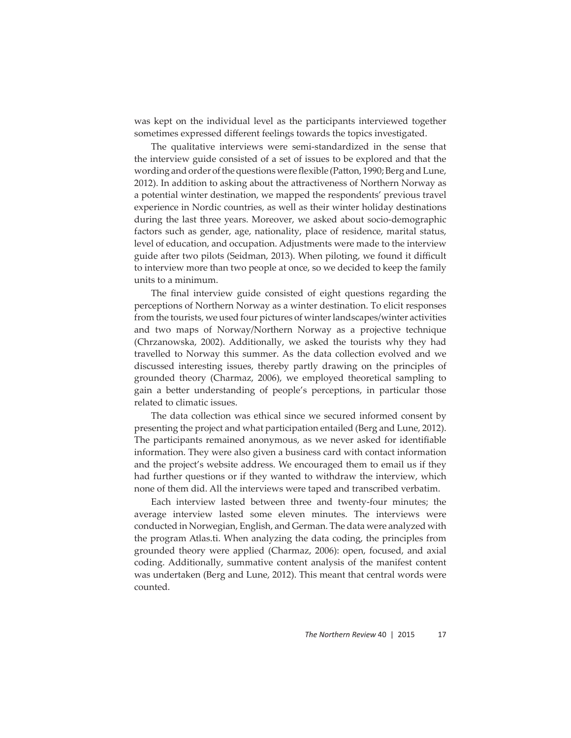was kept on the individual level as the participants interviewed together sometimes expressed different feelings towards the topics investigated.

The qualitative interviews were semi-standardized in the sense that the interview guide consisted of a set of issues to be explored and that the wording and order of the questions were flexible (Patton, 1990; Berg and Lune, 2012). In addition to asking about the attractiveness of Northern Norway as a potential winter destination, we mapped the respondents' previous travel experience in Nordic countries, as well as their winter holiday destinations during the last three years. Moreover, we asked about socio-demographic factors such as gender, age, nationality, place of residence, marital status, level of education, and occupation. Adjustments were made to the interview guide after two pilots (Seidman, 2013). When piloting, we found it difficult to interview more than two people at once, so we decided to keep the family units to a minimum.

The final interview guide consisted of eight questions regarding the perceptions of Northern Norway as a winter destination. To elicit responses from the tourists, we used four pictures of winter landscapes/winter activities and two maps of Norway/Northern Norway as a projective technique (Chrzanowska, 2002). Additionally, we asked the tourists why they had travelled to Norway this summer. As the data collection evolved and we discussed interesting issues, thereby partly drawing on the principles of grounded theory (Charmaz, 2006), we employed theoretical sampling to gain a better understanding of people's perceptions, in particular those related to climatic issues.

The data collection was ethical since we secured informed consent by presenting the project and what participation entailed (Berg and Lune, 2012). The participants remained anonymous, as we never asked for identifiable information. They were also given a business card with contact information and the project's website address. We encouraged them to email us if they had further questions or if they wanted to withdraw the interview, which none of them did. All the interviews were taped and transcribed verbatim.

Each interview lasted between three and twenty-four minutes; the average interview lasted some eleven minutes. The interviews were conducted in Norwegian, English, and German. The data were analyzed with the program Atlas.ti. When analyzing the data coding, the principles from grounded theory were applied (Charmaz, 2006): open, focused, and axial coding. Additionally, summative content analysis of the manifest content was undertaken (Berg and Lune, 2012). This meant that central words were counted.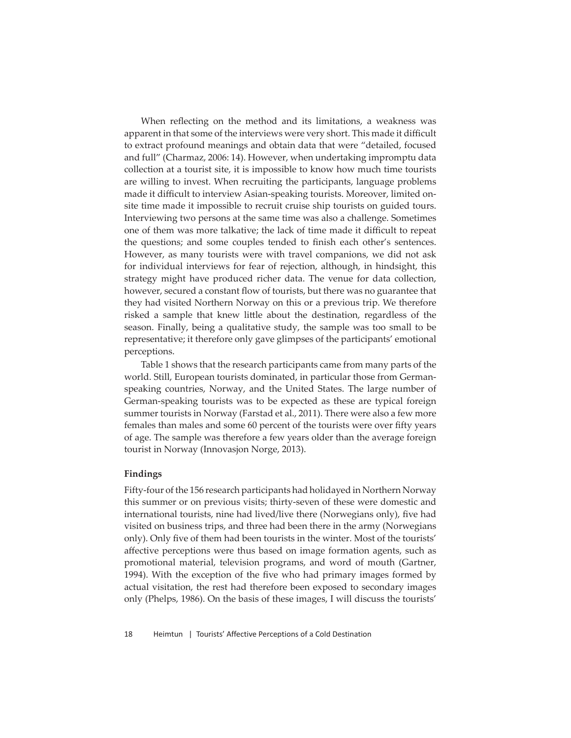When reflecting on the method and its limitations, a weakness was apparent in that some of the interviews were very short. This made it difficult to extract profound meanings and obtain data that were "detailed, focused and full" (Charmaz, 2006: 14). However, when undertaking impromptu data collection at a tourist site, it is impossible to know how much time tourists are willing to invest. When recruiting the participants, language problems made it difficult to interview Asian-speaking tourists. Moreover, limited onsite time made it impossible to recruit cruise ship tourists on guided tours. Interviewing two persons at the same time was also a challenge. Sometimes one of them was more talkative; the lack of time made it difficult to repeat the questions; and some couples tended to finish each other's sentences. However, as many tourists were with travel companions, we did not ask for individual interviews for fear of rejection, although, in hindsight, this strategy might have produced richer data. The venue for data collection, however, secured a constant flow of tourists, but there was no guarantee that they had visited Northern Norway on this or a previous trip. We therefore risked a sample that knew little about the destination, regardless of the season. Finally, being a qualitative study, the sample was too small to be representative; it therefore only gave glimpses of the participants' emotional perceptions.

Table 1 shows that the research participants came from many parts of the world. Still, European tourists dominated, in particular those from Germanspeaking countries, Norway, and the United States. The large number of German-speaking tourists was to be expected as these are typical foreign summer tourists in Norway (Farstad et al., 2011). There were also a few more females than males and some 60 percent of the tourists were over fifty years of age. The sample was therefore a few years older than the average foreign tourist in Norway (Innovasjon Norge, 2013).

#### **Findings**

Fifty-four of the 156 research participants had holidayed in Northern Norway this summer or on previous visits; thirty-seven of these were domestic and international tourists, nine had lived/live there (Norwegians only), five had visited on business trips, and three had been there in the army (Norwegians only). Only five of them had been tourists in the winter. Most of the tourists' affective perceptions were thus based on image formation agents, such as promotional material, television programs, and word of mouth (Gartner, 1994). With the exception of the five who had primary images formed by actual visitation, the rest had therefore been exposed to secondary images only (Phelps, 1986). On the basis of these images, I will discuss the tourists'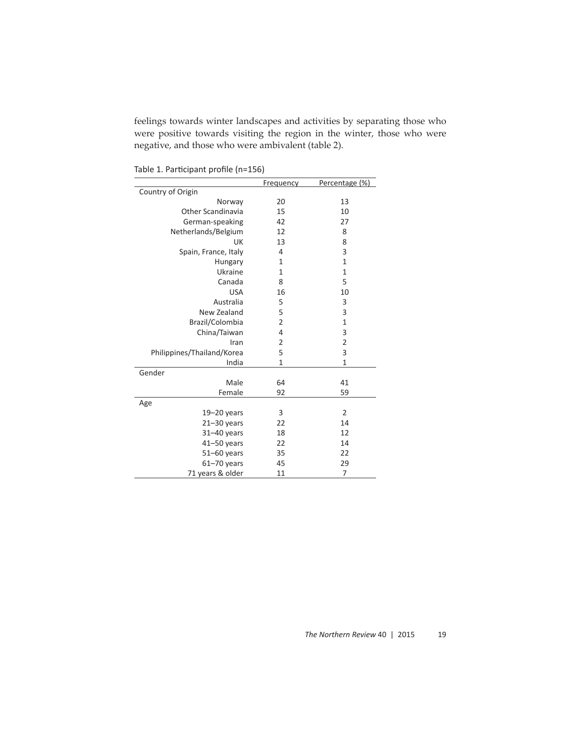feelings towards winter landscapes and activities by separating those who were positive towards visiting the region in the winter, those who were negative, and those who were ambivalent (table 2).

Frequency Percentage (%) Country of Origin Norway 20 13 Other Scandinavia 15 10 German-speaking 42 27<br>
therlands/Belgium 12 8 Netherlands/Belgium 12 8<br>UK 13 8 UK 13 8 Spain, France, Italy  $\begin{array}{ccc} 4 & 3 \\ 1 & 1 \end{array}$ **Hungary** Ukraine 1 1<br>Canada 8 5 Canada 8 USA 16 10 Australia 5<br>
v Zealand 5 3 New Zealand Brazil/Colombia 2 1<br>China/Taiwan 4 3 China/Taiwan Iran 2 2 Philippines/Thailand/Korea 5 5 3 India 1 1 1 Gender Male 64 41 Female 92 59 Age 19–20 years 3 2 21-30 years 22 14 31–40 years 18 12 41–50 years 22 14 51–60 years 35 22<br>61–70 years 45 29 61-70 years 45 71 years & older 11 7

Table 1. Participant profile (n=156)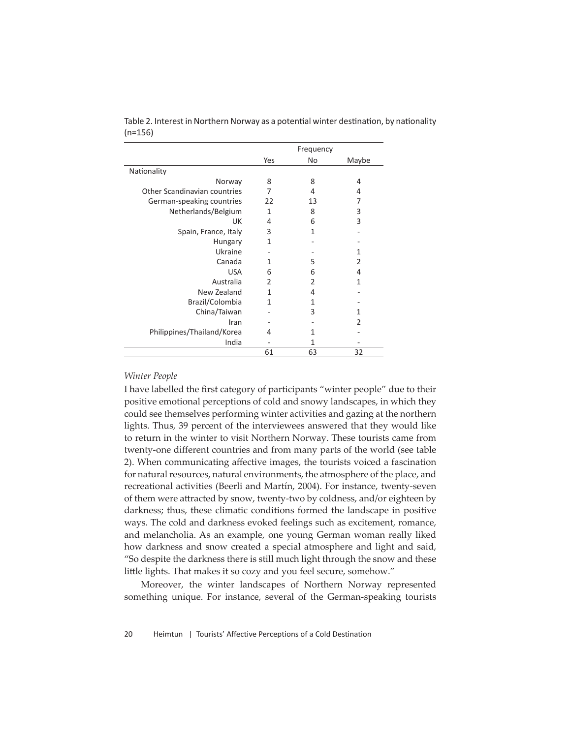|                                     |                | Frequency     |               |  |
|-------------------------------------|----------------|---------------|---------------|--|
|                                     | Yes            | No            | Maybe         |  |
| Nationality                         |                |               |               |  |
| Norway                              | 8              | 8             | 4             |  |
| <b>Other Scandinavian countries</b> | 7              | 4             | 4             |  |
| German-speaking countries           | 22             | 13            | 7             |  |
| Netherlands/Belgium                 | 1              | 8             | 3             |  |
| UK                                  | 4              | 6             | 3             |  |
| Spain, France, Italy                | 3              | 1             |               |  |
| Hungary                             | 1              |               |               |  |
| Ukraine                             |                |               | 1             |  |
| Canada                              | 1              | 5             | 2             |  |
| <b>USA</b>                          | 6              | 6             | 4             |  |
| Australia                           | $\mathfrak{p}$ | $\mathcal{P}$ | 1             |  |
| New Zealand                         | 1              | 4             |               |  |
| Brazil/Colombia                     | 1              | 1             |               |  |
| China/Taiwan                        |                | 3             | 1             |  |
| Iran                                |                |               | $\mathfrak z$ |  |
| Philippines/Thailand/Korea          | 4              | 1             |               |  |
| India                               |                | 1             |               |  |
|                                     | 61             | 63            | 32            |  |

Table 2. Interest in Northern Norway as a potential winter destination, by nationality (n=156)

### *Winter People*

I have labelled the first category of participants "winter people" due to their positive emotional perceptions of cold and snowy landscapes, in which they could see themselves performing winter activities and gazing at the northern lights. Thus, 39 percent of the interviewees answered that they would like to return in the winter to visit Northern Norway. These tourists came from twenty-one different countries and from many parts of the world (see table 2). When communicating affective images, the tourists voiced a fascination for natural resources, natural environments, the atmosphere of the place, and recreational activities (Beerli and Martín, 2004). For instance, twenty-seven of them were att racted by snow, twenty-two by coldness, and/or eighteen by darkness; thus, these climatic conditions formed the landscape in positive ways. The cold and darkness evoked feelings such as excitement, romance, and melancholia. As an example, one young German woman really liked how darkness and snow created a special atmosphere and light and said, "So despite the darkness there is still much light through the snow and these little lights. That makes it so cozy and you feel secure, somehow."

Moreover, the winter landscapes of Northern Norway represented something unique. For instance, several of the German-speaking tourists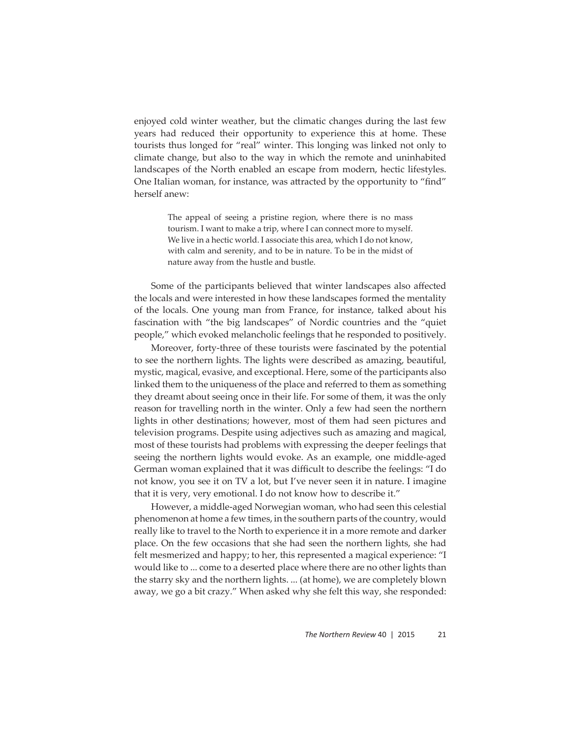enjoyed cold winter weather, but the climatic changes during the last few years had reduced their opportunity to experience this at home. These tourists thus longed for "real" winter. This longing was linked not only to climate change, but also to the way in which the remote and uninhabited landscapes of the North enabled an escape from modern, hectic lifestyles. One Italian woman, for instance, was attracted by the opportunity to "find" herself anew:

> The appeal of seeing a pristine region, where there is no mass tourism. I want to make a trip, where I can connect more to myself. We live in a hectic world. I associate this area, which I do not know, with calm and serenity, and to be in nature. To be in the midst of nature away from the hustle and bustle.

Some of the participants believed that winter landscapes also affected the locals and were interested in how these landscapes formed the mentality of the locals. One young man from France, for instance, talked about his fascination with "the big landscapes" of Nordic countries and the "quiet people," which evoked melancholic feelings that he responded to positively.

Moreover, forty-three of these tourists were fascinated by the potential to see the northern lights. The lights were described as amazing, beautiful, mystic, magical, evasive, and exceptional. Here, some of the participants also linked them to the uniqueness of the place and referred to them as something they dreamt about seeing once in their life. For some of them, it was the only reason for travelling north in the winter. Only a few had seen the northern lights in other destinations; however, most of them had seen pictures and television programs. Despite using adjectives such as amazing and magical, most of these tourists had problems with expressing the deeper feelings that seeing the northern lights would evoke. As an example, one middle-aged German woman explained that it was difficult to describe the feelings: "I do not know, you see it on TV a lot, but I've never seen it in nature. I imagine that it is very, very emotional. I do not know how to describe it."

However, a middle-aged Norwegian woman, who had seen this celestial phenomenon at home a few times, in the southern parts of the country, would really like to travel to the North to experience it in a more remote and darker place. On the few occasions that she had seen the northern lights, she had felt mesmerized and happy; to her, this represented a magical experience: "I would like to ... come to a deserted place where there are no other lights than the starry sky and the northern lights. ... (at home), we are completely blown away, we go a bit crazy." When asked why she felt this way, she responded: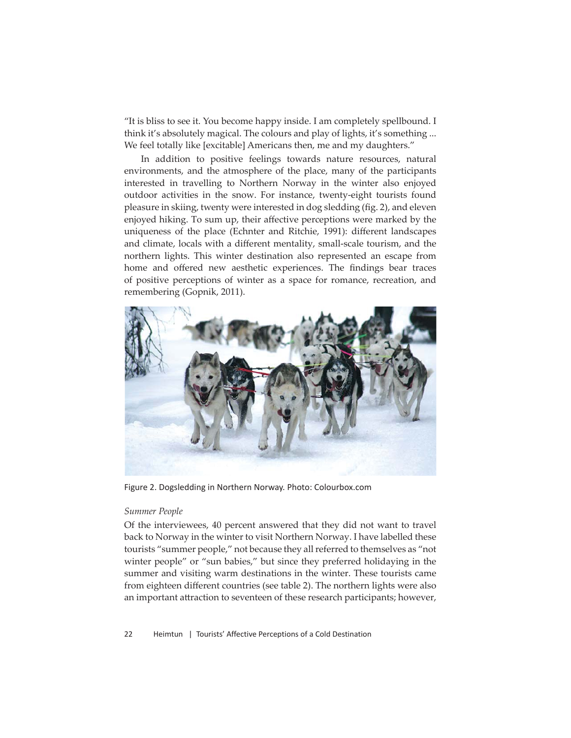"It is bliss to see it. You become happy inside. I am completely spellbound. I think it's absolutely magical. The colours and play of lights, it's something ... We feel totally like [excitable] Americans then, me and my daughters."

In addition to positive feelings towards nature resources, natural environments, and the atmosphere of the place, many of the participants interested in travelling to Northern Norway in the winter also enjoyed outdoor activities in the snow. For instance, twenty-eight tourists found pleasure in skiing, twenty were interested in dog sledding (fig. 2), and eleven enjoyed hiking. To sum up, their affective perceptions were marked by the uniqueness of the place (Echnter and Ritchie, 1991): different landscapes and climate, locals with a different mentality, small-scale tourism, and the northern lights. This winter destination also represented an escape from home and offered new aesthetic experiences. The findings bear traces of positive perceptions of winter as a space for romance, recreation, and remembering (Gopnik, 2011).



Figure 2. Dogsledding in Northern Norway. Photo: Colourbox.com

#### *Summer People*

Of the interviewees, 40 percent answered that they did not want to travel back to Norway in the winter to visit Northern Norway. I have labelled these tourists "summer people," not because they all referred to themselves as "not winter people" or "sun babies," but since they preferred holidaying in the summer and visiting warm destinations in the winter. These tourists came from eighteen different countries (see table 2). The northern lights were also an important attraction to seventeen of these research participants; however,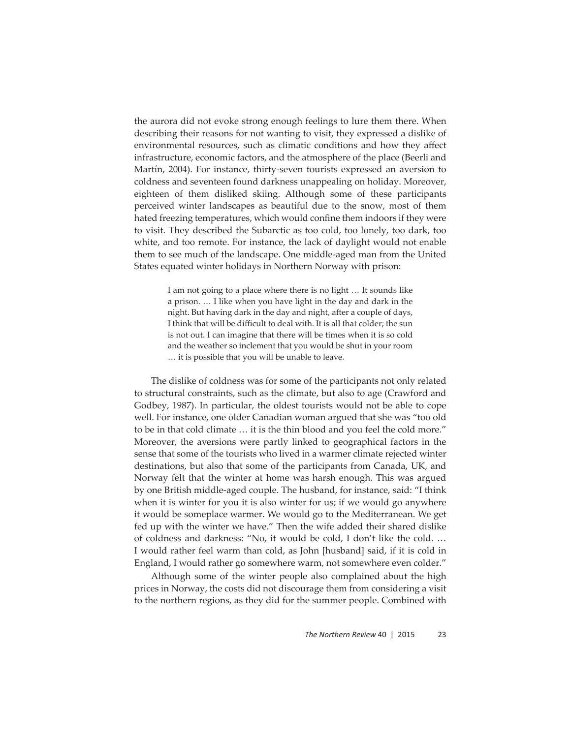the aurora did not evoke strong enough feelings to lure them there. When describing their reasons for not wanting to visit, they expressed a dislike of environmental resources, such as climatic conditions and how they affect infrastructure, economic factors, and the atmosphere of the place (Beerli and Martín, 2004). For instance, thirty-seven tourists expressed an aversion to coldness and seventeen found darkness unappealing on holiday. Moreover, eighteen of them disliked skiing. Although some of these participants perceived winter landscapes as beautiful due to the snow, most of them hated freezing temperatures, which would confine them indoors if they were to visit. They described the Subarctic as too cold, too lonely, too dark, too white, and too remote. For instance, the lack of daylight would not enable them to see much of the landscape. One middle-aged man from the United States equated winter holidays in Northern Norway with prison:

> I am not going to a place where there is no light … It sounds like a prison. … I like when you have light in the day and dark in the night. But having dark in the day and night, after a couple of days, I think that will be difficult to deal with. It is all that colder; the sun is not out. I can imagine that there will be times when it is so cold and the weather so inclement that you would be shut in your room … it is possible that you will be unable to leave.

The dislike of coldness was for some of the participants not only related to structural constraints, such as the climate, but also to age (Crawford and Godbey, 1987). In particular, the oldest tourists would not be able to cope well. For instance, one older Canadian woman argued that she was "too old to be in that cold climate … it is the thin blood and you feel the cold more." Moreover, the aversions were partly linked to geographical factors in the sense that some of the tourists who lived in a warmer climate rejected winter destinations, but also that some of the participants from Canada, UK, and Norway felt that the winter at home was harsh enough. This was argued by one British middle-aged couple. The husband, for instance, said: "I think when it is winter for you it is also winter for us; if we would go anywhere it would be someplace warmer. We would go to the Mediterranean. We get fed up with the winter we have." Then the wife added their shared dislike of coldness and darkness: "No, it would be cold, I don't like the cold. … I would rather feel warm than cold, as John [husband] said, if it is cold in England, I would rather go somewhere warm, not somewhere even colder."

Although some of the winter people also complained about the high prices in Norway, the costs did not discourage them from considering a visit to the northern regions, as they did for the summer people. Combined with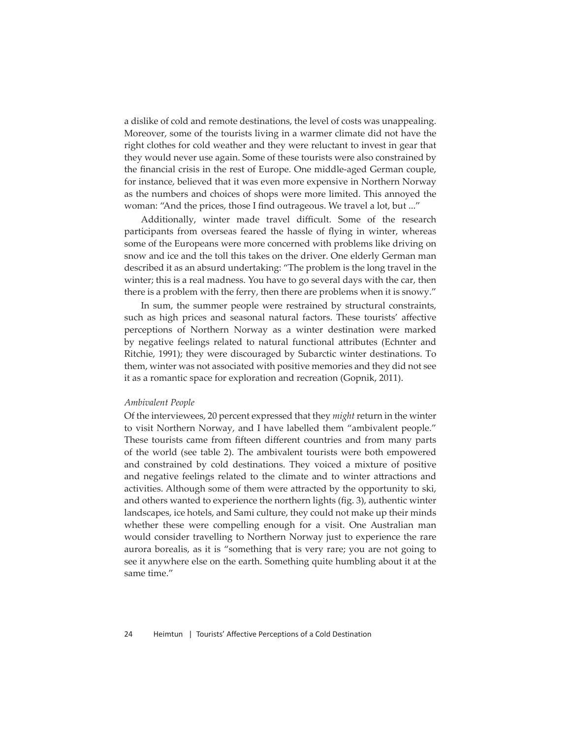a dislike of cold and remote destinations, the level of costs was unappealing. Moreover, some of the tourists living in a warmer climate did not have the right clothes for cold weather and they were reluctant to invest in gear that they would never use again. Some of these tourists were also constrained by the financial crisis in the rest of Europe. One middle-aged German couple, for instance, believed that it was even more expensive in Northern Norway as the numbers and choices of shops were more limited. This annoyed the woman: "And the prices, those I find outrageous. We travel a lot, but ..."

Additionally, winter made travel difficult. Some of the research participants from overseas feared the hassle of flying in winter, whereas some of the Europeans were more concerned with problems like driving on snow and ice and the toll this takes on the driver. One elderly German man described it as an absurd undertaking: "The problem is the long travel in the winter; this is a real madness. You have to go several days with the car, then there is a problem with the ferry, then there are problems when it is snowy."

In sum, the summer people were restrained by structural constraints, such as high prices and seasonal natural factors. These tourists' affective perceptions of Northern Norway as a winter destination were marked by negative feelings related to natural functional attributes (Echnter and Ritchie, 1991); they were discouraged by Subarctic winter destinations. To them, winter was not associated with positive memories and they did not see it as a romantic space for exploration and recreation (Gopnik, 2011).

#### *Ambivalent People*

Of the interviewees, 20 percent expressed that they *might* return in the winter to visit Northern Norway, and I have labelled them "ambivalent people." These tourists came from fifteen different countries and from many parts of the world (see table 2). The ambivalent tourists were both empowered and constrained by cold destinations. They voiced a mixture of positive and negative feelings related to the climate and to winter attractions and activities. Although some of them were attracted by the opportunity to ski, and others wanted to experience the northern lights (fig. 3), authentic winter landscapes, ice hotels, and Sami culture, they could not make up their minds whether these were compelling enough for a visit. One Australian man would consider travelling to Northern Norway just to experience the rare aurora borealis, as it is "something that is very rare; you are not going to see it anywhere else on the earth. Something quite humbling about it at the same time."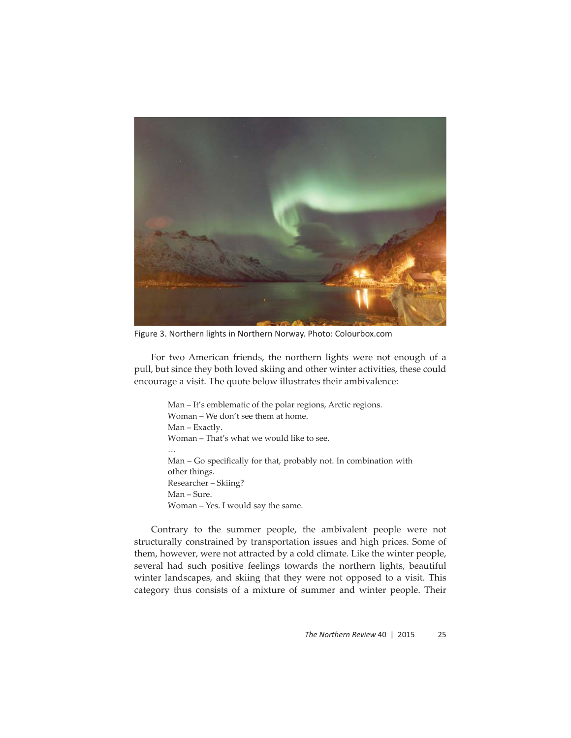

Figure 3. Northern lights in Northern Norway. Photo: Colourbox.com

For two American friends, the northern lights were not enough of a pull, but since they both loved skiing and other winter activities, these could encourage a visit. The quote below illustrates their ambivalence:

> Man – It's emblematic of the polar regions, Arctic regions. Woman – We don't see them at home. Man – Exactly. Woman – That's what we would like to see. … Man – Go specifically for that, probably not. In combination with other things. Researcher – Skiing? Man – Sure. Woman – Yes. I would say the same.

Contrary to the summer people, the ambivalent people were not structurally constrained by transportation issues and high prices. Some of them, however, were not attracted by a cold climate. Like the winter people, several had such positive feelings towards the northern lights, beautiful winter landscapes, and skiing that they were not opposed to a visit. This category thus consists of a mixture of summer and winter people. Their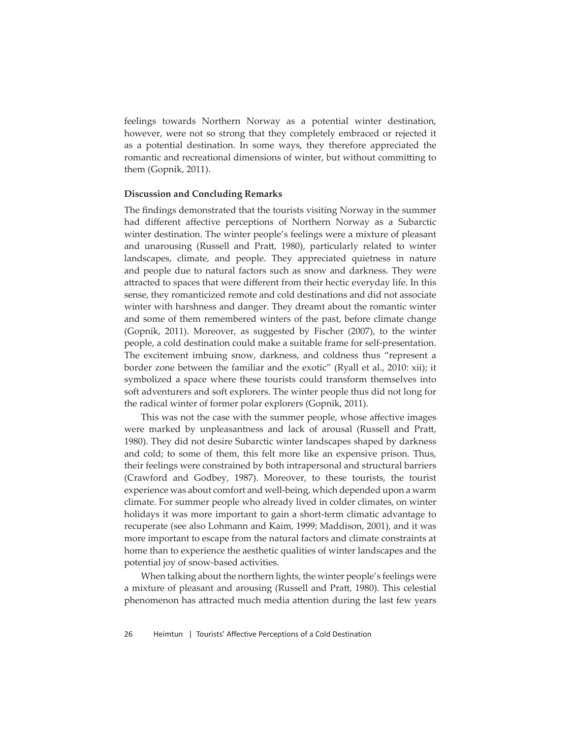feelings towards Northern Norway as a potential winter destination, however, were not so strong that they completely embraced or rejected it as a potential destination. In some ways, they therefore appreciated the romantic and recreational dimensions of winter, but without committing to them (Gopnik, 2011).

#### **Discussion and Concluding Remarks**

The findings demonstrated that the tourists visiting Norway in the summer had different affective perceptions of Northern Norway as a Subarctic winter destination. The winter people's feelings were a mixture of pleasant and unarousing (Russell and Pratt, 1980), particularly related to winter landscapes, climate, and people. They appreciated quietness in nature and people due to natural factors such as snow and darkness. They were attracted to spaces that were different from their hectic everyday life. In this sense, they romanticized remote and cold destinations and did not associate winter with harshness and danger. They dreamt about the romantic winter and some of them remembered winters of the past, before climate change (Gopnik, 2011). Moreover, as suggested by Fischer (2007), to the winter people, a cold destination could make a suitable frame for self-presentation. The excitement imbuing snow, darkness, and coldness thus "represent a border zone between the familiar and the exotic" (Ryall et al., 2010: xii); it symbolized a space where these tourists could transform themselves into soft adventurers and soft explorers. The winter people thus did not long for the radical winter of former polar explorers (Gopnik, 2011).

This was not the case with the summer people, whose affective images were marked by unpleasantness and lack of arousal (Russell and Pratt, 1980). They did not desire Subarctic winter landscapes shaped by darkness and cold; to some of them, this felt more like an expensive prison. Thus, their feelings were constrained by both intrapersonal and structural barriers (Crawford and Godbey, 1987). Moreover, to these tourists, the tourist experience was about comfort and well-being, which depended upon a warm climate. For summer people who already lived in colder climates, on winter holidays it was more important to gain a short-term climatic advantage to recuperate (see also Lohmann and Kaim, 1999; Maddison, 2001), and it was more important to escape from the natural factors and climate constraints at home than to experience the aesthetic qualities of winter landscapes and the potential joy of snow-based activities.

When talking about the northern lights, the winter people's feelings were a mixture of pleasant and arousing (Russell and Pratt, 1980). This celestial phenomenon has attracted much media attention during the last few years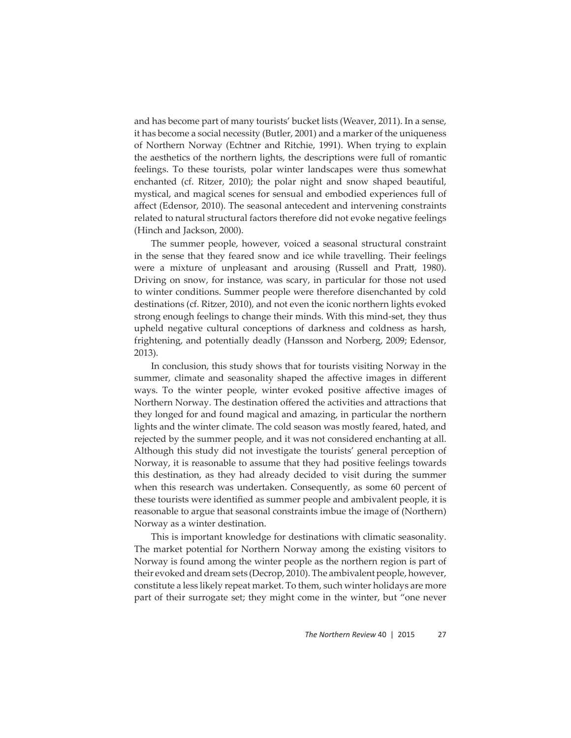and has become part of many tourists' bucket lists (Weaver, 2011). In a sense, it has become a social necessity (Butler, 2001) and a marker of the uniqueness of Northern Norway (Echtner and Ritchie, 1991). When trying to explain the aesthetics of the northern lights, the descriptions were full of romantic feelings. To these tourists, polar winter landscapes were thus somewhat enchanted (cf. Ritzer, 2010); the polar night and snow shaped beautiful, mystical, and magical scenes for sensual and embodied experiences full of affect (Edensor, 2010). The seasonal antecedent and intervening constraints related to natural structural factors therefore did not evoke negative feelings (Hinch and Jackson, 2000).

The summer people, however, voiced a seasonal structural constraint in the sense that they feared snow and ice while travelling. Their feelings were a mixture of unpleasant and arousing (Russell and Pratt, 1980). Driving on snow, for instance, was scary, in particular for those not used to winter conditions. Summer people were therefore disenchanted by cold destinations (cf. Ritzer, 2010), and not even the iconic northern lights evoked strong enough feelings to change their minds. With this mind-set, they thus upheld negative cultural conceptions of darkness and coldness as harsh, frightening, and potentially deadly (Hansson and Norberg, 2009; Edensor, 2013).

In conclusion, this study shows that for tourists visiting Norway in the summer, climate and seasonality shaped the affective images in different ways. To the winter people, winter evoked positive affective images of Northern Norway. The destination offered the activities and attractions that they longed for and found magical and amazing, in particular the northern lights and the winter climate. The cold season was mostly feared, hated, and rejected by the summer people, and it was not considered enchanting at all. Although this study did not investigate the tourists' general perception of Norway, it is reasonable to assume that they had positive feelings towards this destination, as they had already decided to visit during the summer when this research was undertaken. Consequently, as some 60 percent of these tourists were identified as summer people and ambivalent people, it is reasonable to argue that seasonal constraints imbue the image of (Northern) Norway as a winter destination.

This is important knowledge for destinations with climatic seasonality. The market potential for Northern Norway among the existing visitors to Norway is found among the winter people as the northern region is part of their evoked and dream sets (Decrop, 2010). The ambivalent people, however, constitute a less likely repeat market. To them, such winter holidays are more part of their surrogate set; they might come in the winter, but "one never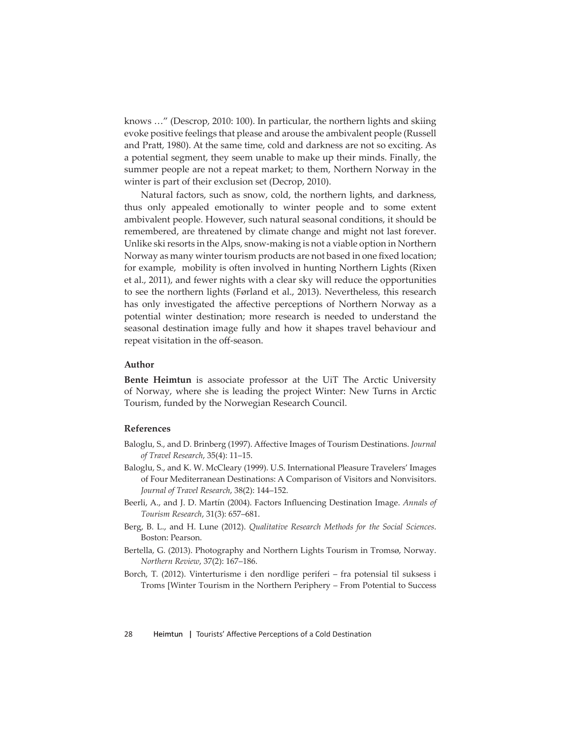knows …" (Descrop, 2010: 100). In particular, the northern lights and skiing evoke positive feelings that please and arouse the ambivalent people (Russell and Pratt, 1980). At the same time, cold and darkness are not so exciting. As a potential segment, they seem unable to make up their minds. Finally, the summer people are not a repeat market; to them, Northern Norway in the winter is part of their exclusion set (Decrop, 2010).

Natural factors, such as snow, cold, the northern lights, and darkness, thus only appealed emotionally to winter people and to some extent ambivalent people. However, such natural seasonal conditions, it should be remembered, are threatened by climate change and might not last forever. Unlike ski resorts in the Alps, snow-making is not a viable option in Northern Norway as many winter tourism products are not based in one fixed location; for example, mobility is often involved in hunting Northern Lights (Rixen et al., 2011), and fewer nights with a clear sky will reduce the opportunities to see the northern lights (Førland et al., 2013). Nevertheless, this research has only investigated the affective perceptions of Northern Norway as a potential winter destination; more research is needed to understand the seasonal destination image fully and how it shapes travel behaviour and repeat visitation in the off-season.

## **Author**

**Bente Heimtun** is associate professor at the UiT The Arctic University of Norway, where she is leading the project Winter: New Turns in Arctic Tourism, funded by the Norwegian Research Council.

# **References**

- Baloglu, S., and D. Brinberg (1997). Affective Images of Tourism Destinations. *Journal of Travel Research*, 35(4): 11–15.
- Baloglu, S., and K. W. McCleary (1999). U.S. International Pleasure Travelers' Images of Four Mediterranean Destinations: A Comparison of Visitors and Nonvisitors. *Journal of Travel Research*, 38(2): 144–152.
- Beerli, A., and J. D. Martín (2004). Factors Influencing Destination Image. *Annals of Tourism Research*, 31(3): 657–681.
- Berg, B. L., and H. Lune (2012). *Qualitative Research Methods for the Social Sciences*. Boston: Pearson.
- Bertella, G. (2013). Photography and Northern Lights Tourism in Tromsø, Norway. *Northern Review*, 37(2): 167–186.
- Borch, T. (2012). Vinterturisme i den nordlige periferi fra potensial til suksess i Troms [Winter Tourism in the Northern Periphery – From Potential to Success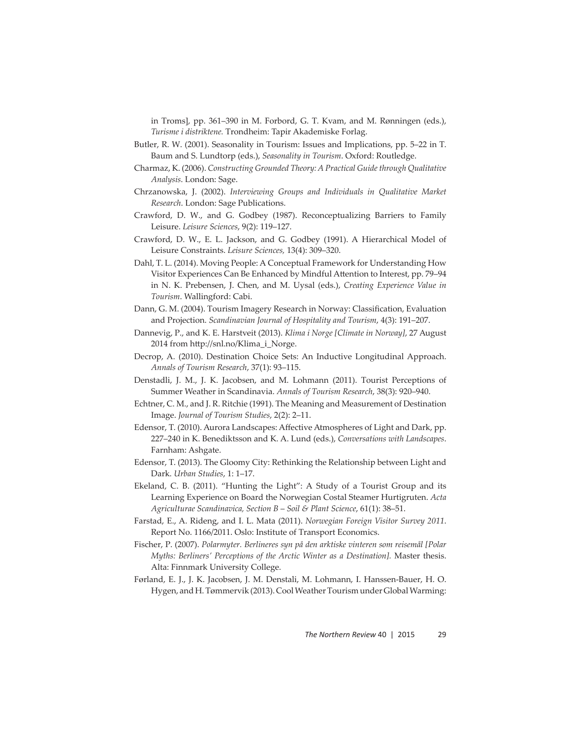in Troms], pp. 361–390 in M. Forbord, G. T. Kvam, and M. Rønningen (eds.), *Turisme i distriktene.* Trondheim: Tapir Akademiske Forlag.

- Butler, R. W. (2001). Seasonality in Tourism: Issues and Implications, pp. 5–22 in T. Baum and S. Lundtorp (eds.), *Seasonality in Tourism*. Oxford: Routledge.
- Charmaz, K. (2006). *Constructing Grounded Theory: A Practical Guide through Qualitative Analysis*. London: Sage.
- Chrzanowska, J. (2002). *Interviewing Groups and Individuals in Qualitative Market Research*. London: Sage Publications.
- Crawford, D. W., and G. Godbey (1987). Reconceptualizing Barriers to Family Leisure. *Leisure Sciences*, 9(2): 119–127.
- Crawford, D. W., E. L. Jackson, and G. Godbey (1991). A Hierarchical Model of Leisure Constraints. *Leisure Sciences,* 13(4): 309–320.
- Dahl, T. L. (2014). Moving People: A Conceptual Framework for Understanding How Visitor Experiences Can Be Enhanced by Mindful Attention to Interest, pp. 79–94 in N. K. Prebensen, J. Chen, and M. Uysal (eds.), *Creating Experience Value in Tourism*. Wallingford: Cabi.
- Dann, G. M. (2004). Tourism Imagery Research in Norway: Classification, Evaluation and Projection. *Scandinavian Journal of Hospitality and Tourism*, 4(3): 191–207.
- Dannevig, P., and K. E. Harstveit (2013). *Klima i Norge [Climate in Norway]*, 27 August 2014 from http://snl.no/Klima\_i\_Norge.
- Decrop, A. (2010). Destination Choice Sets: An Inductive Longitudinal Approach. *Annals of Tourism Research*, 37(1): 93–115.
- Denstadli, J. M., J. K. Jacobsen, and M. Lohmann (2011). Tourist Perceptions of Summer Weather in Scandinavia. *Annals of Tourism Research*, 38(3): 920–940.
- Echtner, C. M., and J. R. Ritchie (1991). The Meaning and Measurement of Destination Image. *Journal of Tourism Studies*, 2(2): 2–11.
- Edensor, T. (2010). Aurora Landscapes: Affective Atmospheres of Light and Dark, pp. 227–240 in K. Benediktsson and K. A. Lund (eds.), *Conversations with Landscapes*. Farnham: Ashgate.
- Edensor, T. (2013). The Gloomy City: Rethinking the Relationship between Light and Dark. *Urban Studies*, 1: 1–17.
- Ekeland, C. B. (2011). "Hunting the Light": A Study of a Tourist Group and its Learning Experience on Board the Norwegian Costal Steamer Hurtigruten. *Acta Agriculturae Scandinavica, Section B* – *Soil & Plant Science*, 61(1): 38–51.
- Farstad, E., A. Rideng, and I. L. Mata (2011). *Norwegian Foreign Visitor Survey 2011*. Report No. 1166/2011. Oslo: Institute of Transport Economics.
- Fischer, P. (2007). *Polarmyter. Berlineres syn på den arktiske vinteren som reisemål [Polar Myths: Berliners' Perceptions of the Arctic Winter as a Destination].* Master thesis. Alta: Finnmark University College.
- Førland, E. J., J. K. Jacobsen, J. M. Denstali, M. Lohmann, I. Hanssen-Bauer, H. O. Hygen, and H. Tømmervik (2013). Cool Weather Tourism under Global Warming: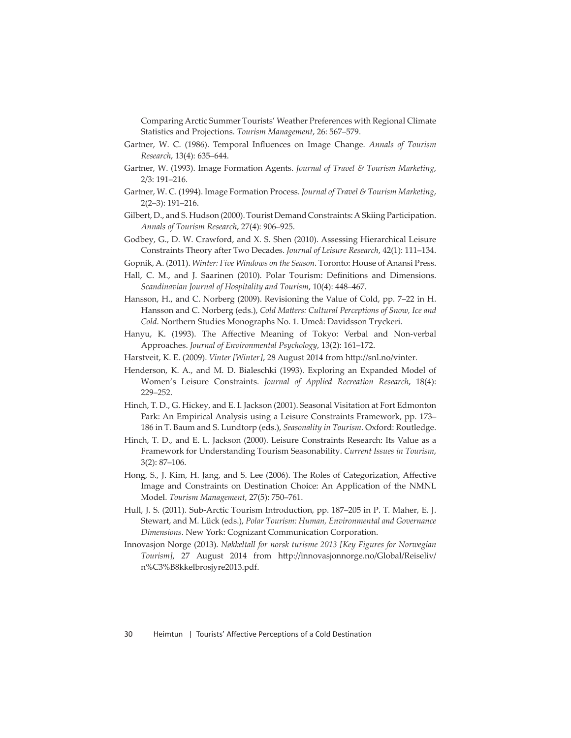Comparing Arctic Summer Tourists' Weather Preferences with Regional Climate Statistics and Projections. *Tourism Management*, 26: 567–579.

- Gartner, W. C. (1986). Temporal Influences on Image Change. *Annals of Tourism Research*, 13(4): 635–644.
- Gartner, W. (1993). Image Formation Agents. *Journal of Travel & Tourism Marketing*, 2/3: 191–216.
- Gartner, W. C. (1994). Image Formation Process. *Journal of Travel & Tourism Marketing*, 2(2–3): 191–216.
- Gilbert, D., and S. Hudson (2000). Tourist Demand Constraints: A Skiing Participation. *Annals of Tourism Research*, 27(4): 906–925.
- Godbey, G., D. W. Crawford, and X. S. Shen (2010). Assessing Hierarchical Leisure Constraints Theory after Two Decades. *Journal of Leisure Research*, 42(1): 111–134.
- Gopnik, A. (2011). *Winter: Five Windows on the Season*. Toronto: House of Anansi Press.
- Hall, C. M., and J. Saarinen (2010). Polar Tourism: Definitions and Dimensions. *Scandinavian Journal of Hospitality and Tourism*, 10(4): 448–467.
- Hansson, H., and C. Norberg (2009). Revisioning the Value of Cold, pp. 7–22 in H. Hansson and C. Norberg (eds.), *Cold Matters: Cultural Perceptions of Snow*, Ice and *Cold*. Northern Studies Monographs No. 1. Umeå: Davidsson Tryckeri.
- Hanyu, K. (1993). The Affective Meaning of Tokyo: Verbal and Non-verbal Approaches. *Journal of Environmental Psychology*, 13(2): 161–172.
- Harstveit, K. E. (2009). *Vinter [Winter],* 28 August 2014 from http://snl.no/vinter.
- Henderson, K. A., and M. D. Bialeschki (1993). Exploring an Expanded Model of Women's Leisure Constraints. *Journal of Applied Recreation Research*, 18(4): 229–252.
- Hinch, T. D., G. Hickey, and E. I. Jackson (2001). Seasonal Visitation at Fort Edmonton Park: An Empirical Analysis using a Leisure Constraints Framework, pp. 173– 186 in T. Baum and S. Lundtorp (eds.), *Seasonality in Tourism*. Oxford: Routledge.
- Hinch, T. D., and E. L. Jackson (2000). Leisure Constraints Research: Its Value as a Framework for Understanding Tourism Seasonability. *Current Issues in Tourism*, 3(2): 87–106.
- Hong, S., J. Kim, H. Jang, and S. Lee (2006). The Roles of Categorization, Affective Image and Constraints on Destination Choice: An Application of the NMNL Model. *Tourism Management*, 27(5): 750–761.
- Hull, J. S. (2011). Sub-Arctic Tourism Introduction, pp. 187–205 in P. T. Maher, E. J. Stewart, and M. Lück (eds.), *Polar Tourism: Human, Environmental and Governance Dimensions*. New York: Cognizant Communication Corporation.
- Innovasjon Norge (2013). *Nøkkeltall for norsk turisme 2013 [Key Figures for Norwegian*  Tourism], 27 August 2014 from http://innovasjonnorge.no/Global/Reiseliv/ n%C3%B8kkelbrosjyre2013.pdf.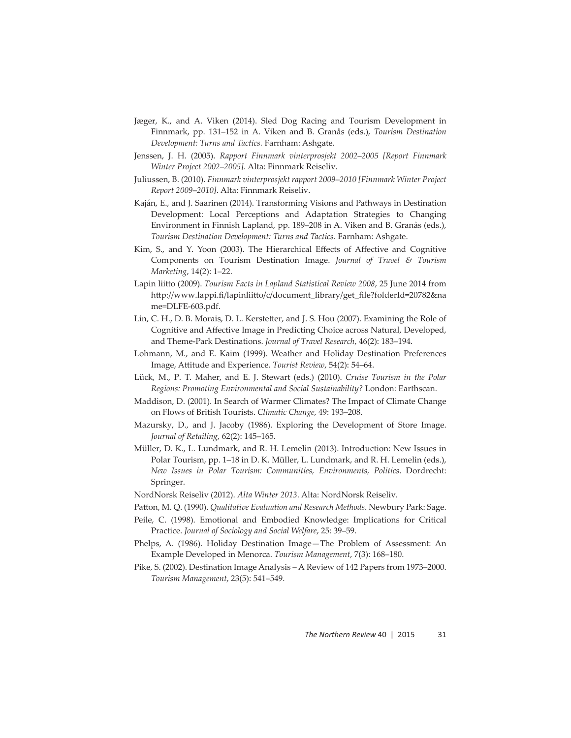- Jæger, K., and A. Viken (2014). Sled Dog Racing and Tourism Development in Finnmark, pp. 131–152 in A. Viken and B. Granås (eds.), *Tourism Destination Development: Turns and Tactics.* Farnham: Ashgate.
- Jenssen, J. H. (2005). *Rapport Finnmark vinterprosjekt 2002*–*2005 [Report Finnmark Winter Project 2002*–*2005]*. Alta: Finnmark Reiseliv.
- Juliussen, B. (2010). *Finnmark vinterprosjekt rapport 2009*–*2010 [Finnmark Winter Project Report 2009*–*2010]*. Alta: Finnmark Reiseliv.
- Kaján, E., and J. Saarinen (2014). Transforming Visions and Pathways in Destination Development: Local Perceptions and Adaptation Strategies to Changing Environment in Finnish Lapland, pp. 189–208 in A. Viken and B. Granås (eds.), *Tourism Destination Development: Turns and Tactics*. Farnham: Ashgate.
- Kim, S., and Y. Yoon (2003). The Hierarchical Effects of Affective and Cognitive Components on Tourism Destination Image. *Journal of Travel & Tourism Marketing*, 14(2): 1–22.
- Lapin liitto (2009). *Tourism Facts in Lapland Statistical Review 2008*, 25 June 2014 from http://www.lappi.fi/lapinliitto/c/document\_library/get\_file?folderId=20782&na me=DLFE-603.pdf.
- Lin, C. H., D. B. Morais, D. L. Kerstetter, and J. S. Hou (2007). Examining the Role of Cognitive and Affective Image in Predicting Choice across Natural, Developed, and Theme-Park Destinations. *Journal of Travel Research*, 46(2): 183–194.
- Lohmann, M., and E. Kaim (1999). Weather and Holiday Destination Preferences Image, Attitude and Experience. *Tourist Review*, 54(2): 54-64.
- Lück, M., P. T. Maher, and E. J. Stewart (eds.) (2010). *Cruise Tourism in the Polar Regions: Promoting Environmental and Social Sustainability?* London: Earthscan.
- Maddison, D. (2001). In Search of Warmer Climates? The Impact of Climate Change on Flows of British Tourists. *Climatic Change*, 49: 193–208.
- Mazursky, D., and J. Jacoby (1986). Exploring the Development of Store Image. *Journal of Retailing*, 62(2): 145–165.
- Müller, D. K., L. Lundmark, and R. H. Lemelin (2013). Introduction: New Issues in Polar Tourism, pp. 1–18 in D. K. Müller, L. Lundmark, and R. H. Lemelin (eds.), *New Issues in Polar Tourism: Communities, Environments, Politics*. Dordrecht: Springer.
- NordNorsk Reiseliv (2012). *Alta Winter 2013*. Alta: NordNorsk Reiseliv.
- Patt on, M. Q. (1990). *Qualitative Evaluation and Research Methods*. Newbury Park: Sage.
- Peile, C. (1998). Emotional and Embodied Knowledge: Implications for Critical Practice. *Journal of Sociology and Social Welfare*, 25: 39–59.
- Phelps, A. (1986). Holiday Destination Image—The Problem of Assessment: An Example Developed in Menorca. *Tourism Management*, 7(3): 168–180.
- Pike, S. (2002). Destination Image Analysis A Review of 142 Papers from 1973–2000. *Tourism Management*, 23(5): 541–549.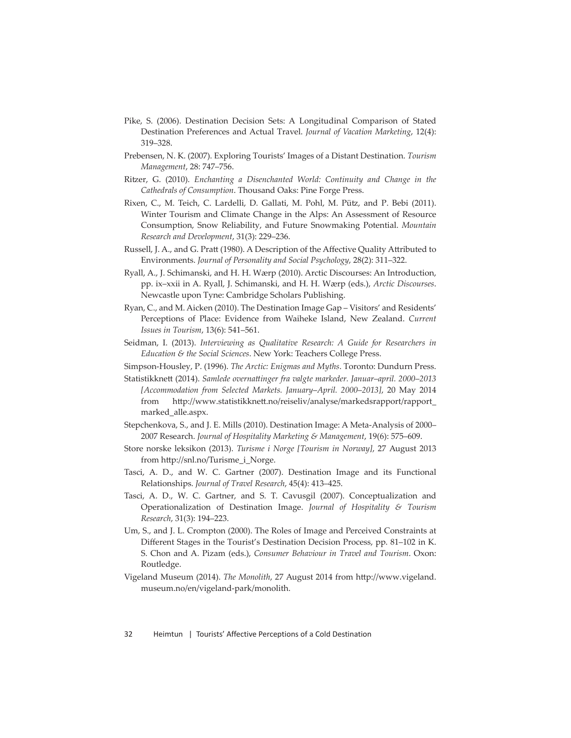- Pike, S. (2006). Destination Decision Sets: A Longitudinal Comparison of Stated Destination Preferences and Actual Travel. *Journal of Vacation Marketing*, 12(4): 319–328.
- Prebensen, N. K. (2007). Exploring Tourists' Images of a Distant Destination. *Tourism Management*, 28: 747–756.
- Ritzer, G. (2010). *Enchanting a Disenchanted World: Continuity and Change in the Cathedrals of Consumption*. Thousand Oaks: Pine Forge Press.
- Rixen, C., M. Teich, C. Lardelli, D. Gallati, M. Pohl, M. Pütz, and P. Bebi (2011). Winter Tourism and Climate Change in the Alps: An Assessment of Resource Consumption, Snow Reliability, and Future Snowmaking Potential. *Mountain Research and Development*, 31(3): 229–236.
- Russell, J. A., and G. Pratt (1980). A Description of the Affective Quality Attributed to Environments. *Journal of Personality and Social Psychology*, 28(2): 311–322.
- Ryall, A., J. Schimanski, and H. H. Wærp (2010). Arctic Discourses: An Introduction, pp. ix–xxii in A. Ryall, J. Schimanski, and H. H. Wærp (eds.), *Arctic Discourses*. Newcastle upon Tyne: Cambridge Scholars Publishing.
- Ryan, C., and M. Aicken (2010). The Destination Image Gap Visitors' and Residents' Perceptions of Place: Evidence from Waiheke Island, New Zealand. *Current Issues in Tourism*, 13(6): 541–561.
- Seidman, I. (2013). *Interviewing as Qualitative Research: A Guide for Researchers in Education & the Social Sciences*. New York: Teachers College Press.
- Simpson-Housley, P. (1996). *The Arctic: Enigmas and Myths*. Toronto: Dundurn Press.
- Statistikknett (2014). Samlede overnattinger fra valgte markeder. Januar-april. 2000-2013 *[Accommodation from Selected Markets. January*–*April. 2000*–*2013]*, 20 May 2014 from http://www.statistikknett.no/reiseliv/analyse/markedsrapport/rapport\_ marked\_alle.aspx.
- Stepchenkova, S., and J. E. Mills (2010). Destination Image: A Meta-Analysis of 2000– 2007 Research. *Journal of Hospitality Marketing & Management*, 19(6): 575–609.
- Store norske leksikon (2013). *Turisme i Norge [Tourism in Norway]*, 27 August 2013 from http://snl.no/Turisme\_i\_Norge.
- Tasci, A. D., and W. C. Gartner (2007). Destination Image and its Functional Relationships. *Journal of Travel Research*, 45(4): 413–425.
- Tasci, A. D., W. C. Gartner, and S. T. Cavusgil (2007). Conceptualization and Operationalization of Destination Image. *Journal of Hospitality & Tourism Research*, 31(3): 194–223.
- Um, S., and J. L. Crompton (2000). The Roles of Image and Perceived Constraints at Different Stages in the Tourist's Destination Decision Process, pp. 81-102 in K. S. Chon and A. Pizam (eds.), *Consumer Behaviour in Travel and Tourism*. Oxon: Routledge.
- Vigeland Museum (2014). *The Monolith*, 27 August 2014 from http://www.vigeland. museum.no/en/vigeland-park/monolith.

32 Heimtun | Tourists' Affective Perceptions of a Cold Destination